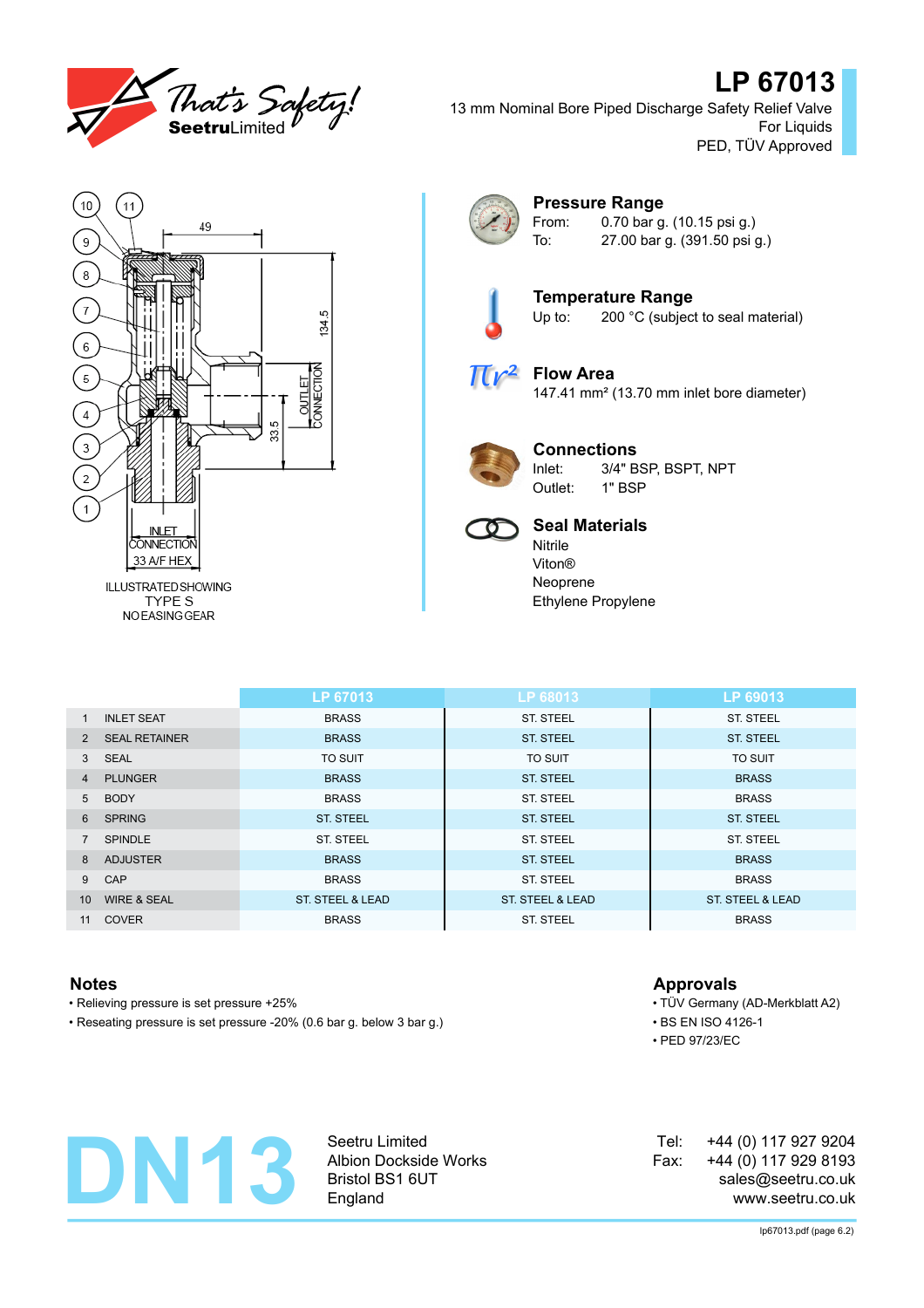

# **LP 67013**

13 mm Nominal Bore Piped Discharge Safety Relief Valve For Liquids PED, TÜV Approved



TYPE S **NOEASINGGEAR** 



### **Pressure Range** From: 0.70 bar g. (10.15 psi g.)

To: 27.00 bar g. (391.50 psi g.)



**Temperature Range**<br>Up to: 200 °C (subject 200 °C (subject to seal material)



**Flow Area** 147.41 mm² (13.70 mm inlet bore diameter)



## **Connections**

Inlet: 3/4" BSP, BSPT, NPT Outlet: 1" BSP



## **Seal Materials**

Nitrile Viton® Neoprene Ethylene Propylene

|                 |                        | LP 67013         | LP 68013                    | LP 69013         |
|-----------------|------------------------|------------------|-----------------------------|------------------|
| $\mathbf{1}$    | <b>INLET SEAT</b>      | <b>BRASS</b>     | <b>ST. STEEL</b>            | <b>ST. STEEL</b> |
| 2               | <b>SEAL RETAINER</b>   | <b>BRASS</b>     | <b>ST. STEEL</b>            | <b>ST. STEEL</b> |
|                 | 3 SEAL                 | <b>TO SUIT</b>   | <b>TO SUIT</b>              | <b>TO SUIT</b>   |
| $\overline{4}$  | <b>PLUNGER</b>         | <b>BRASS</b>     | <b>ST. STEEL</b>            | <b>BRASS</b>     |
| $5^{\circ}$     | <b>BODY</b>            | <b>BRASS</b>     | <b>ST. STEEL</b>            | <b>BRASS</b>     |
| 6               | <b>SPRING</b>          | <b>ST. STEEL</b> | <b>ST. STEEL</b>            | <b>ST. STEEL</b> |
|                 | SPINDLE                | ST. STEEL        | <b>ST. STEEL</b>            | ST. STEEL        |
| 8               | <b>ADJUSTER</b>        | <b>BRASS</b>     | <b>ST. STEEL</b>            | <b>BRASS</b>     |
| 9               | CAP                    | <b>BRASS</b>     | <b>ST. STEEL</b>            | <b>BRASS</b>     |
| 10 <sup>1</sup> | <b>WIRE &amp; SEAL</b> | ST. STEEL & LEAD | <b>ST. STEEL &amp; LEAD</b> | ST. STEEL & LEAD |
| 11              | <b>COVER</b>           | <b>BRASS</b>     | <b>ST. STEEL</b>            | <b>BRASS</b>     |

- Relieving pressure is set pressure +25% TÜV Germany (AD-Merkblatt A2)
- Reseating pressure is set pressure -20% (0.6 bar g. below 3 bar g.) BS EN ISO 4126-1

## **Notes Approvals**

- 
- 
- PED 97/23/EC



Seetru Limited Albion Dockside Works Bristol BS1 6UT England

| Tel: | +44 (0) 117 927 9204 |  |
|------|----------------------|--|
| Fax: | +44 (0) 117 929 8193 |  |
|      | sales@seetru.co.uk   |  |
|      | www.seetru.co.uk     |  |